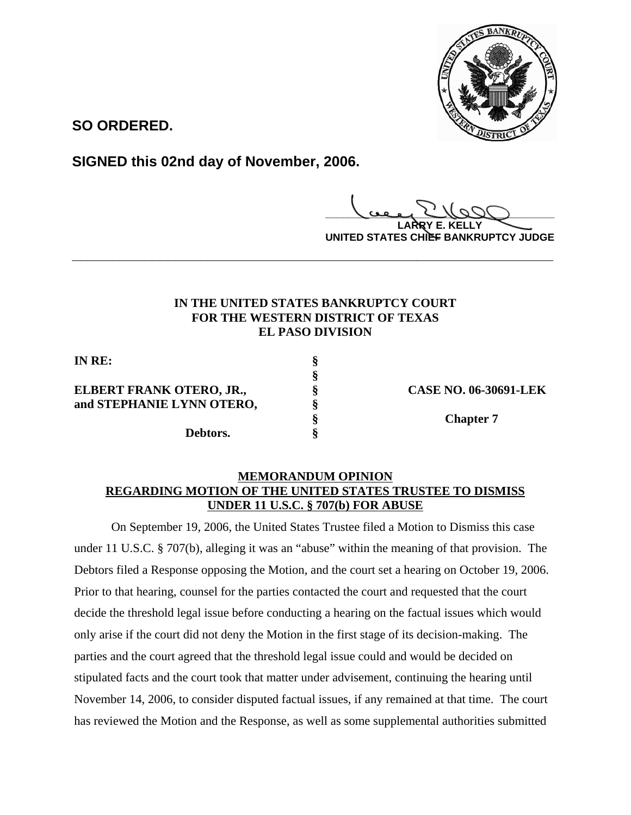

**SO ORDERED.**

**SIGNED this 02nd day of November, 2006.**

**\_\_\_\_\_\_\_\_\_\_\_\_\_\_\_\_\_\_\_\_\_\_\_\_\_\_\_\_\_\_\_\_\_\_\_\_\_\_\_\_**

**LARRY E. KELLY UNITED STATES CHIEF BANKRUPTCY JUDGE**

## **IN THE UNITED STATES BANKRUPTCY COURT FOR THE WESTERN DISTRICT OF TEXAS EL PASO DIVISION**

**\_\_\_\_\_\_\_\_\_\_\_\_\_\_\_\_\_\_\_\_\_\_\_\_\_\_\_\_\_\_\_\_\_\_\_\_\_\_\_\_\_\_\_\_\_\_\_\_\_\_\_\_\_\_\_\_\_\_\_\_**

**§**

**IN RE: §**

# **ELBERT FRANK OTERO, JR., § CASE NO. 06-30691-LEK and STEPHANIE LYNN OTERO, §**

**Debtors. §**

**§ Chapter 7**

## **MEMORANDUM OPINION REGARDING MOTION OF THE UNITED STATES TRUSTEE TO DISMISS UNDER 11 U.S.C. § 707(b) FOR ABUSE**

On September 19, 2006, the United States Trustee filed a Motion to Dismiss this case under 11 U.S.C. § 707(b), alleging it was an "abuse" within the meaning of that provision. The Debtors filed a Response opposing the Motion, and the court set a hearing on October 19, 2006. Prior to that hearing, counsel for the parties contacted the court and requested that the court decide the threshold legal issue before conducting a hearing on the factual issues which would only arise if the court did not deny the Motion in the first stage of its decision-making. The parties and the court agreed that the threshold legal issue could and would be decided on stipulated facts and the court took that matter under advisement, continuing the hearing until November 14, 2006, to consider disputed factual issues, if any remained at that time. The court has reviewed the Motion and the Response, as well as some supplemental authorities submitted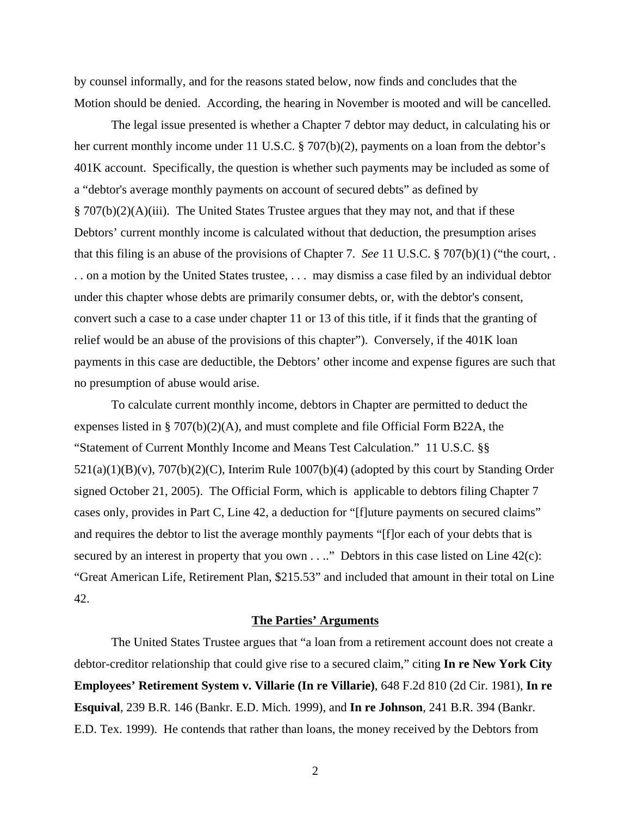by counsel informally, and for the reasons stated below, now finds and concludes that the Motion should be denied. According, the hearing in November is mooted and will be cancelled.

The legal issue presented is whether a Chapter 7 debtor may deduct, in calculating his or her current monthly income under 11 U.S.C. § 707(b)(2), payments on a loan from the debtor's 401K account. Specifically, the question is whether such payments may be included as some of a "debtor's average monthly payments on account of secured debts" as defined by § 707(b)(2)(A)(iii). The United States Trustee argues that they may not, and that if these Debtors' current monthly income is calculated without that deduction, the presumption arises that this filing is an abuse of the provisions of Chapter 7. *See* 11 U.S.C. § 707(b)(1) ("the court, . . . on a motion by the United States trustee, . . . may dismiss a case filed by an individual debtor under this chapter whose debts are primarily consumer debts, or, with the debtor's consent, convert such a case to a case under chapter 11 or 13 of this title, if it finds that the granting of relief would be an abuse of the provisions of this chapter"). Conversely, if the 401K loan payments in this case are deductible, the Debtors' other income and expense figures are such that no presumption of abuse would arise.

To calculate current monthly income, debtors in Chapter are permitted to deduct the expenses listed in § 707(b)(2)(A), and must complete and file Official Form B22A, the "Statement of Current Monthly Income and Means Test Calculation." 11 U.S.C. §§ 521(a)(1)(B)(v), 707(b)(2)(C), Interim Rule 1007(b)(4) (adopted by this court by Standing Order signed October 21, 2005). The Official Form, which is applicable to debtors filing Chapter 7 cases only, provides in Part C, Line 42, a deduction for "[f]uture payments on secured claims" and requires the debtor to list the average monthly payments "[f]or each of your debts that is secured by an interest in property that you own  $\dots$ ." Debtors in this case listed on Line 42 $(c)$ : "Great American Life, Retirement Plan, \$215.53" and included that amount in their total on Line 42.

### **The Parties' Arguments**

The United States Trustee argues that "a loan from a retirement account does not create a debtor-creditor relationship that could give rise to a secured claim," citing **In re New York City Employees' Retirement System v. Villarie (In re Villarie)**, 648 F.2d 810 (2d Cir. 1981), **In re Esquival**, 239 B.R. 146 (Bankr. E.D. Mich. 1999), and **In re Johnson**, 241 B.R. 394 (Bankr. E.D. Tex. 1999). He contends that rather than loans, the money received by the Debtors from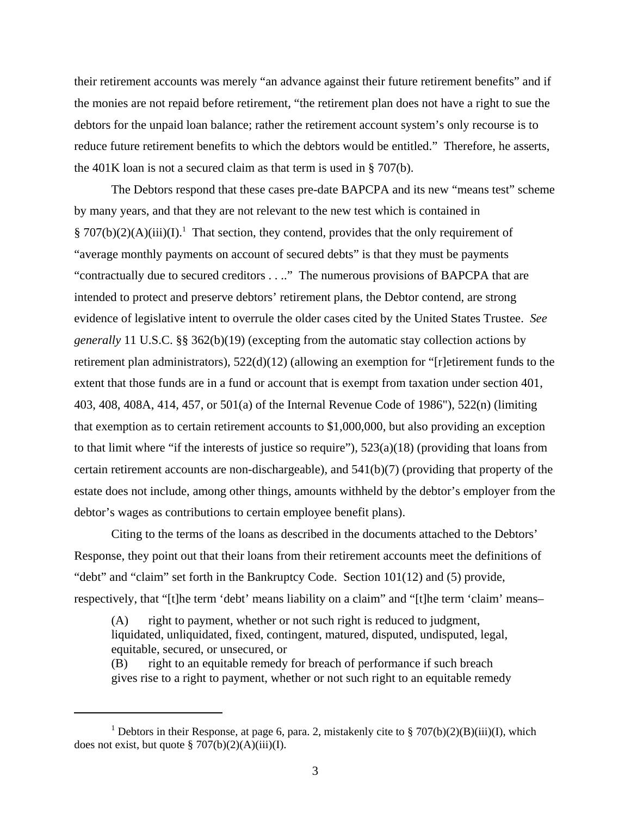their retirement accounts was merely "an advance against their future retirement benefits" and if the monies are not repaid before retirement, "the retirement plan does not have a right to sue the debtors for the unpaid loan balance; rather the retirement account system's only recourse is to reduce future retirement benefits to which the debtors would be entitled." Therefore, he asserts, the 401K loan is not a secured claim as that term is used in § 707(b).

The Debtors respond that these cases pre-date BAPCPA and its new "means test" scheme by many years, and that they are not relevant to the new test which is contained in § 707(b)(2)(A)(iii)(I).<sup>1</sup> That section, they contend, provides that the only requirement of "average monthly payments on account of secured debts" is that they must be payments "contractually due to secured creditors . . .." The numerous provisions of BAPCPA that are intended to protect and preserve debtors' retirement plans, the Debtor contend, are strong evidence of legislative intent to overrule the older cases cited by the United States Trustee. *See generally* 11 U.S.C. §§ 362(b)(19) (excepting from the automatic stay collection actions by retirement plan administrators), 522(d)(12) (allowing an exemption for "[r]etirement funds to the extent that those funds are in a fund or account that is exempt from taxation under section 401, 403, 408, 408A, 414, 457, or 501(a) of the Internal Revenue Code of 1986"), 522(n) (limiting that exemption as to certain retirement accounts to \$1,000,000, but also providing an exception to that limit where "if the interests of justice so require"),  $523(a)(18)$  (providing that loans from certain retirement accounts are non-dischargeable), and 541(b)(7) (providing that property of the estate does not include, among other things, amounts withheld by the debtor's employer from the debtor's wages as contributions to certain employee benefit plans).

Citing to the terms of the loans as described in the documents attached to the Debtors' Response, they point out that their loans from their retirement accounts meet the definitions of "debt" and "claim" set forth in the Bankruptcy Code. Section 101(12) and (5) provide, respectively, that "[t]he term 'debt' means liability on a claim" and "[t]he term 'claim' means–

(A) right to payment, whether or not such right is reduced to judgment, liquidated, unliquidated, fixed, contingent, matured, disputed, undisputed, legal, equitable, secured, or unsecured, or

(B) right to an equitable remedy for breach of performance if such breach gives rise to a right to payment, whether or not such right to an equitable remedy

<sup>&</sup>lt;sup>1</sup> Debtors in their Response, at page 6, para. 2, mistakenly cite to § 707(b)(2)(B)(iii)(I), which does not exist, but quote  $\S 707(b)(2)(A)(iii)(I)$ .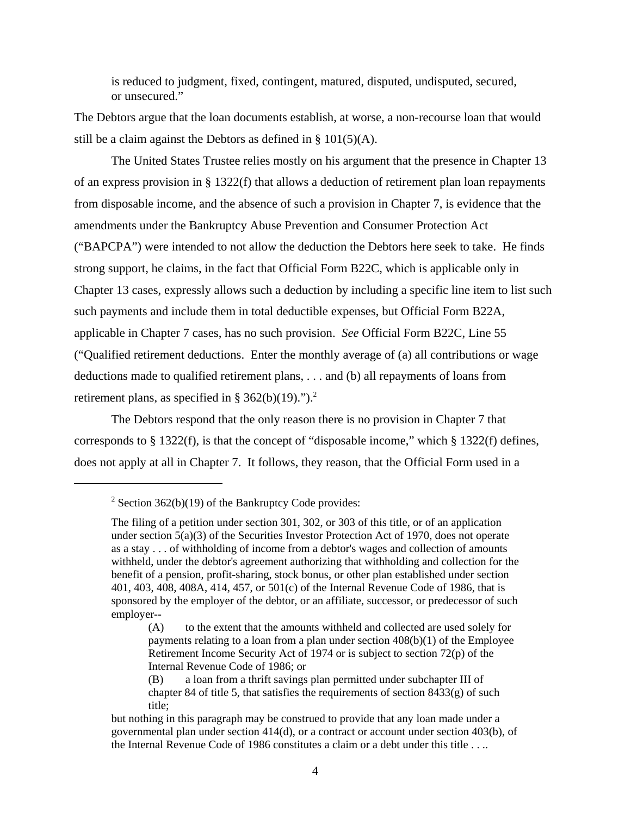is reduced to judgment, fixed, contingent, matured, disputed, undisputed, secured, or unsecured."

The Debtors argue that the loan documents establish, at worse, a non-recourse loan that would still be a claim against the Debtors as defined in  $\S$  101(5)(A).

The United States Trustee relies mostly on his argument that the presence in Chapter 13 of an express provision in § 1322(f) that allows a deduction of retirement plan loan repayments from disposable income, and the absence of such a provision in Chapter 7, is evidence that the amendments under the Bankruptcy Abuse Prevention and Consumer Protection Act ("BAPCPA") were intended to not allow the deduction the Debtors here seek to take. He finds strong support, he claims, in the fact that Official Form B22C, which is applicable only in Chapter 13 cases, expressly allows such a deduction by including a specific line item to list such such payments and include them in total deductible expenses, but Official Form B22A, applicable in Chapter 7 cases, has no such provision. *See* Official Form B22C, Line 55 ("Qualified retirement deductions. Enter the monthly average of (a) all contributions or wage deductions made to qualified retirement plans, . . . and (b) all repayments of loans from retirement plans, as specified in § 362(b)(19).").<sup>2</sup>

The Debtors respond that the only reason there is no provision in Chapter 7 that corresponds to § 1322(f), is that the concept of "disposable income," which § 1322(f) defines, does not apply at all in Chapter 7. It follows, they reason, that the Official Form used in a

<sup>&</sup>lt;sup>2</sup> Section 362(b)(19) of the Bankruptcy Code provides:

The filing of a petition under section 301, 302, or 303 of this title, or of an application under section 5(a)(3) of the Securities Investor Protection Act of 1970, does not operate as a stay . . . of withholding of income from a debtor's wages and collection of amounts withheld, under the debtor's agreement authorizing that withholding and collection for the benefit of a pension, profit-sharing, stock bonus, or other plan established under section 401, 403, 408, 408A, 414, 457, or 501(c) of the Internal Revenue Code of 1986, that is sponsored by the employer of the debtor, or an affiliate, successor, or predecessor of such employer--

<sup>(</sup>A) to the extent that the amounts withheld and collected are used solely for payments relating to a loan from a plan under section  $408(b)(1)$  of the Employee Retirement Income Security Act of 1974 or is subject to section 72(p) of the Internal Revenue Code of 1986; or

<sup>(</sup>B) a loan from a thrift savings plan permitted under subchapter III of chapter 84 of title 5, that satisfies the requirements of section  $8433(g)$  of such title;

but nothing in this paragraph may be construed to provide that any loan made under a governmental plan under section 414(d), or a contract or account under section 403(b), of the Internal Revenue Code of 1986 constitutes a claim or a debt under this title . . ..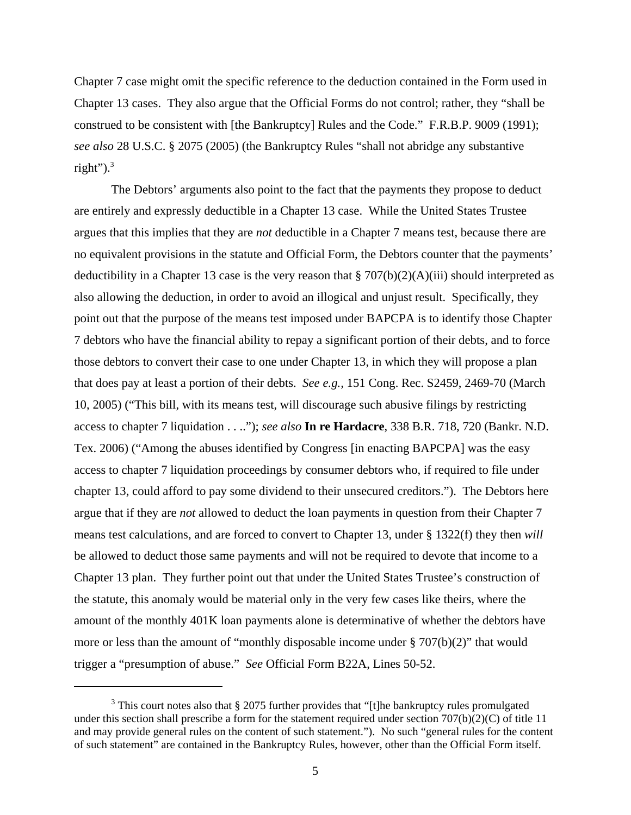Chapter 7 case might omit the specific reference to the deduction contained in the Form used in Chapter 13 cases. They also argue that the Official Forms do not control; rather, they "shall be construed to be consistent with [the Bankruptcy] Rules and the Code." F.R.B.P. 9009 (1991); *see also* 28 U.S.C. § 2075 (2005) (the Bankruptcy Rules "shall not abridge any substantive right"). $3$ 

The Debtors' arguments also point to the fact that the payments they propose to deduct are entirely and expressly deductible in a Chapter 13 case. While the United States Trustee argues that this implies that they are *not* deductible in a Chapter 7 means test, because there are no equivalent provisions in the statute and Official Form, the Debtors counter that the payments' deductibility in a Chapter 13 case is the very reason that  $\S 707(b)(2)(A)(iii)$  should interpreted as also allowing the deduction, in order to avoid an illogical and unjust result. Specifically, they point out that the purpose of the means test imposed under BAPCPA is to identify those Chapter 7 debtors who have the financial ability to repay a significant portion of their debts, and to force those debtors to convert their case to one under Chapter 13, in which they will propose a plan that does pay at least a portion of their debts. *See e.g.,* 151 Cong. Rec. S2459, 2469-70 (March 10, 2005) ("This bill, with its means test, will discourage such abusive filings by restricting access to chapter 7 liquidation . . .."); *see also* **In re Hardacre**, 338 B.R. 718, 720 (Bankr. N.D. Tex. 2006) ("Among the abuses identified by Congress [in enacting BAPCPA] was the easy access to chapter 7 liquidation proceedings by consumer debtors who, if required to file under chapter 13, could afford to pay some dividend to their unsecured creditors."). The Debtors here argue that if they are *not* allowed to deduct the loan payments in question from their Chapter 7 means test calculations, and are forced to convert to Chapter 13, under § 1322(f) they then *will* be allowed to deduct those same payments and will not be required to devote that income to a Chapter 13 plan. They further point out that under the United States Trustee's construction of the statute, this anomaly would be material only in the very few cases like theirs, where the amount of the monthly 401K loan payments alone is determinative of whether the debtors have more or less than the amount of "monthly disposable income under  $\S 707(b)(2)$ " that would trigger a "presumption of abuse." *See* Official Form B22A, Lines 50-52.

 $3$  This court notes also that § 2075 further provides that "[t]he bankruptcy rules promulgated under this section shall prescribe a form for the statement required under section 707(b)(2)(C) of title 11 and may provide general rules on the content of such statement."). No such "general rules for the content of such statement" are contained in the Bankruptcy Rules, however, other than the Official Form itself.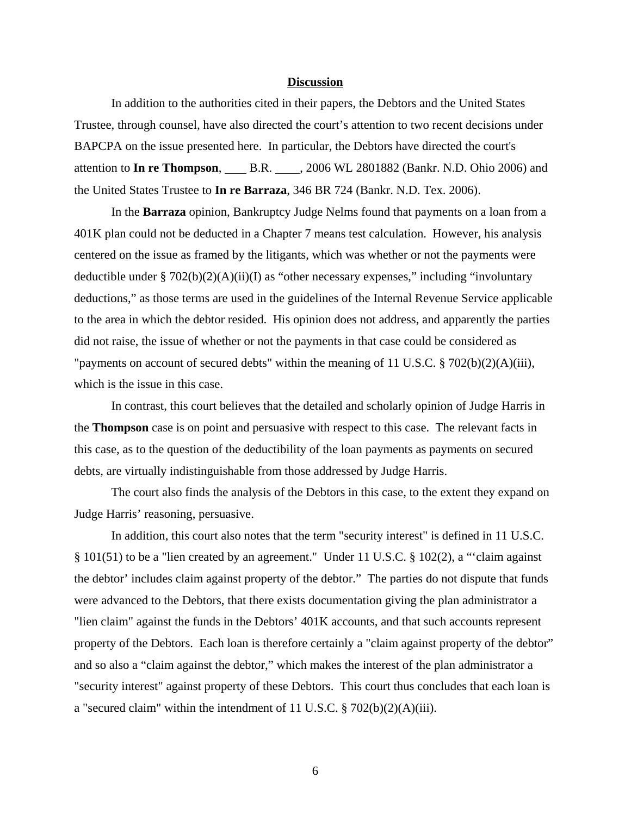### **Discussion**

In addition to the authorities cited in their papers, the Debtors and the United States Trustee, through counsel, have also directed the court's attention to two recent decisions under BAPCPA on the issue presented here. In particular, the Debtors have directed the court's attention to **In re Thompson**, B.R. , 2006 WL 2801882 (Bankr. N.D. Ohio 2006) and the United States Trustee to **In re Barraza**, 346 BR 724 (Bankr. N.D. Tex. 2006).

In the **Barraza** opinion, Bankruptcy Judge Nelms found that payments on a loan from a 401K plan could not be deducted in a Chapter 7 means test calculation. However, his analysis centered on the issue as framed by the litigants, which was whether or not the payments were deductible under § 702(b)(2)(A)(ii)(I) as "other necessary expenses," including "involuntary deductions," as those terms are used in the guidelines of the Internal Revenue Service applicable to the area in which the debtor resided. His opinion does not address, and apparently the parties did not raise, the issue of whether or not the payments in that case could be considered as "payments on account of secured debts" within the meaning of 11 U.S.C. § 702(b)(2)(A)(iii), which is the issue in this case.

In contrast, this court believes that the detailed and scholarly opinion of Judge Harris in the **Thompson** case is on point and persuasive with respect to this case. The relevant facts in this case, as to the question of the deductibility of the loan payments as payments on secured debts, are virtually indistinguishable from those addressed by Judge Harris.

The court also finds the analysis of the Debtors in this case, to the extent they expand on Judge Harris' reasoning, persuasive.

In addition, this court also notes that the term "security interest" is defined in 11 U.S.C. § 101(51) to be a "lien created by an agreement." Under 11 U.S.C. § 102(2), a "'claim against the debtor' includes claim against property of the debtor." The parties do not dispute that funds were advanced to the Debtors, that there exists documentation giving the plan administrator a "lien claim" against the funds in the Debtors' 401K accounts, and that such accounts represent property of the Debtors. Each loan is therefore certainly a "claim against property of the debtor" and so also a "claim against the debtor," which makes the interest of the plan administrator a "security interest" against property of these Debtors. This court thus concludes that each loan is a "secured claim" within the intendment of 11 U.S.C. § 702(b)(2)(A)(iii).

6